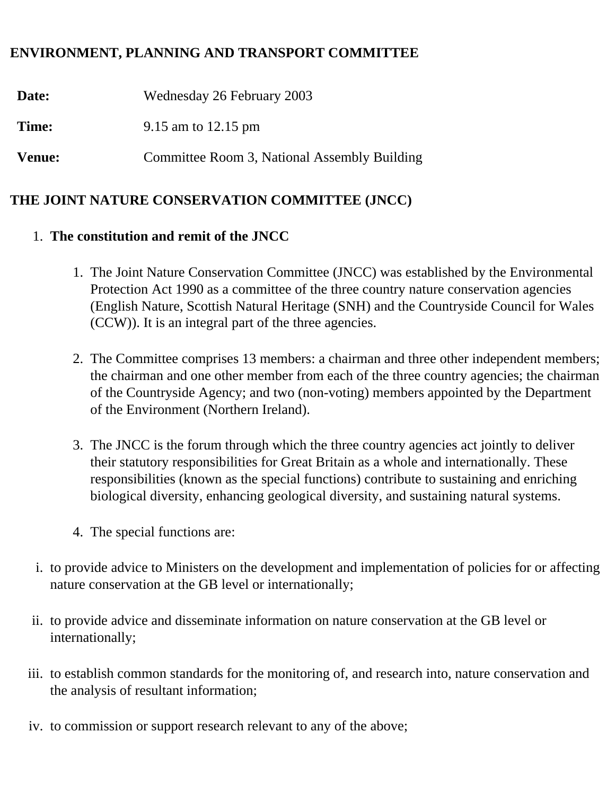### **ENVIRONMENT, PLANNING AND TRANSPORT COMMITTEE**

**Date:** Wednesday 26 February 2003 **Time:** 9.15 am to 12.15 pm **Venue:** Committee Room 3, National Assembly Building

# **THE JOINT NATURE CONSERVATION COMMITTEE (JNCC)**

## 1. **The constitution and remit of the JNCC**

- 1. The Joint Nature Conservation Committee (JNCC) was established by the Environmental Protection Act 1990 as a committee of the three country nature conservation agencies (English Nature, Scottish Natural Heritage (SNH) and the Countryside Council for Wales (CCW)). It is an integral part of the three agencies.
- 2. The Committee comprises 13 members: a chairman and three other independent members; the chairman and one other member from each of the three country agencies; the chairman of the Countryside Agency; and two (non-voting) members appointed by the Department of the Environment (Northern Ireland).
- 3. The JNCC is the forum through which the three country agencies act jointly to deliver their statutory responsibilities for Great Britain as a whole and internationally. These responsibilities (known as the special functions) contribute to sustaining and enriching biological diversity, enhancing geological diversity, and sustaining natural systems.
- 4. The special functions are:
- i. to provide advice to Ministers on the development and implementation of policies for or affecting nature conservation at the GB level or internationally;
- ii. to provide advice and disseminate information on nature conservation at the GB level or internationally;
- iii. to establish common standards for the monitoring of, and research into, nature conservation and the analysis of resultant information;
- iv. to commission or support research relevant to any of the above;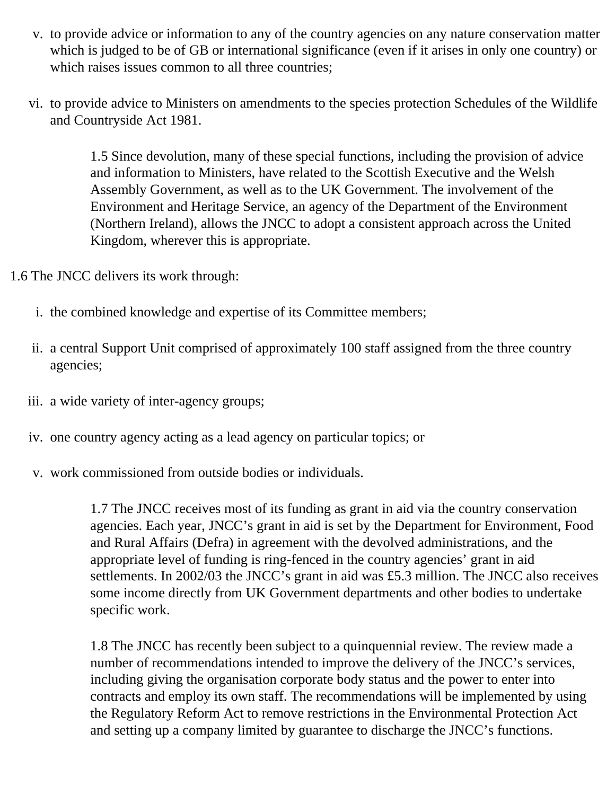- v. to provide advice or information to any of the country agencies on any nature conservation matter which is judged to be of GB or international significance (even if it arises in only one country) or which raises issues common to all three countries;
- vi. to provide advice to Ministers on amendments to the species protection Schedules of the Wildlife and Countryside Act 1981.

1.5 Since devolution, many of these special functions, including the provision of advice and information to Ministers, have related to the Scottish Executive and the Welsh Assembly Government, as well as to the UK Government. The involvement of the Environment and Heritage Service, an agency of the Department of the Environment (Northern Ireland), allows the JNCC to adopt a consistent approach across the United Kingdom, wherever this is appropriate.

1.6 The JNCC delivers its work through:

- i. the combined knowledge and expertise of its Committee members;
- ii. a central Support Unit comprised of approximately 100 staff assigned from the three country agencies;
- iii. a wide variety of inter-agency groups;
- iv. one country agency acting as a lead agency on particular topics; or
- v. work commissioned from outside bodies or individuals.

1.7 The JNCC receives most of its funding as grant in aid via the country conservation agencies. Each year, JNCC's grant in aid is set by the Department for Environment, Food and Rural Affairs (Defra) in agreement with the devolved administrations, and the appropriate level of funding is ring-fenced in the country agencies' grant in aid settlements. In 2002/03 the JNCC's grant in aid was £5.3 million. The JNCC also receives some income directly from UK Government departments and other bodies to undertake specific work.

1.8 The JNCC has recently been subject to a quinquennial review. The review made a number of recommendations intended to improve the delivery of the JNCC's services, including giving the organisation corporate body status and the power to enter into contracts and employ its own staff. The recommendations will be implemented by using the Regulatory Reform Act to remove restrictions in the Environmental Protection Act and setting up a company limited by guarantee to discharge the JNCC's functions.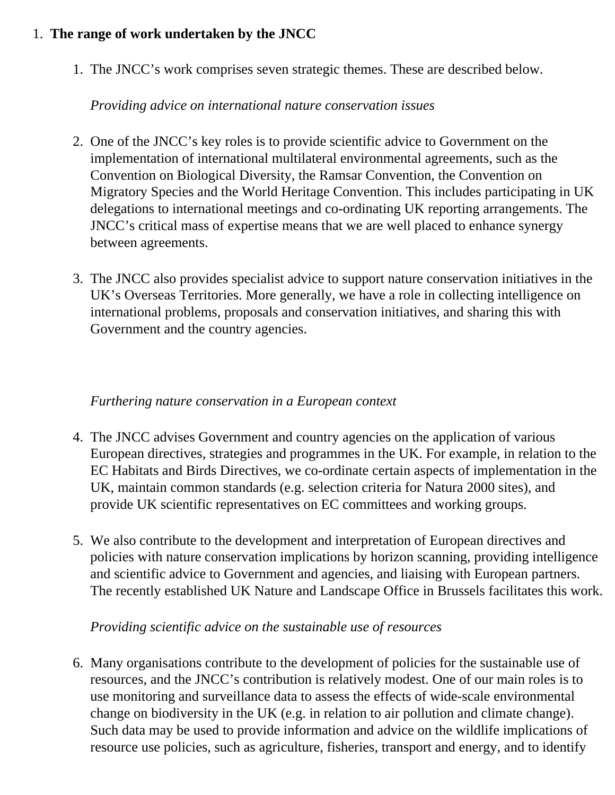## 1. **The range of work undertaken by the JNCC**

1. The JNCC's work comprises seven strategic themes. These are described below.

### *Providing advice on international nature conservation issues*

- 2. One of the JNCC's key roles is to provide scientific advice to Government on the implementation of international multilateral environmental agreements, such as the Convention on Biological Diversity, the Ramsar Convention, the Convention on Migratory Species and the World Heritage Convention. This includes participating in UK delegations to international meetings and co-ordinating UK reporting arrangements. The JNCC's critical mass of expertise means that we are well placed to enhance synergy between agreements.
- 3. The JNCC also provides specialist advice to support nature conservation initiatives in the UK's Overseas Territories. More generally, we have a role in collecting intelligence on international problems, proposals and conservation initiatives, and sharing this with Government and the country agencies.

### *Furthering nature conservation in a European context*

- 4. The JNCC advises Government and country agencies on the application of various European directives, strategies and programmes in the UK. For example, in relation to the EC Habitats and Birds Directives, we co-ordinate certain aspects of implementation in the UK, maintain common standards (e.g. selection criteria for Natura 2000 sites), and provide UK scientific representatives on EC committees and working groups.
- 5. We also contribute to the development and interpretation of European directives and policies with nature conservation implications by horizon scanning, providing intelligence and scientific advice to Government and agencies, and liaising with European partners. The recently established UK Nature and Landscape Office in Brussels facilitates this work.

### *Providing scientific advice on the sustainable use of resources*

6. Many organisations contribute to the development of policies for the sustainable use of resources, and the JNCC's contribution is relatively modest. One of our main roles is to use monitoring and surveillance data to assess the effects of wide-scale environmental change on biodiversity in the UK (e.g. in relation to air pollution and climate change). Such data may be used to provide information and advice on the wildlife implications of resource use policies, such as agriculture, fisheries, transport and energy, and to identify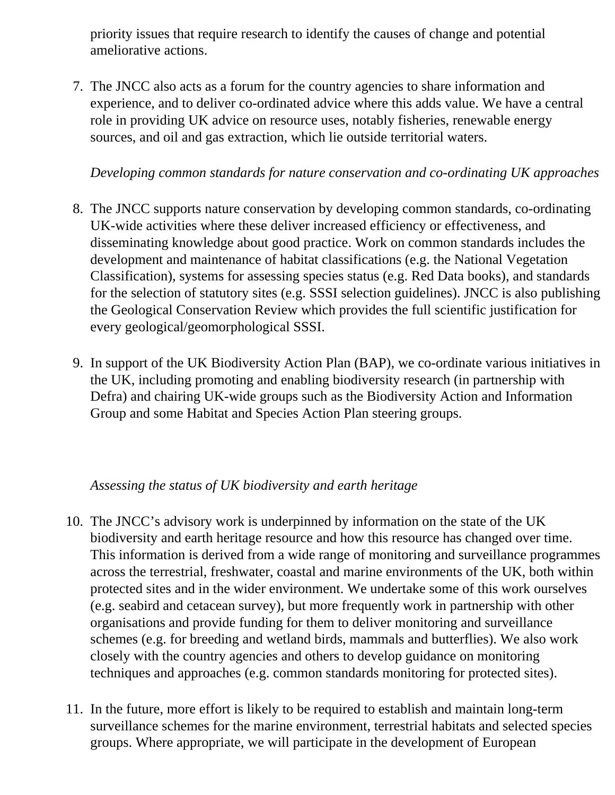priority issues that require research to identify the causes of change and potential ameliorative actions.

7. The JNCC also acts as a forum for the country agencies to share information and experience, and to deliver co-ordinated advice where this adds value. We have a central role in providing UK advice on resource uses, notably fisheries, renewable energy sources, and oil and gas extraction, which lie outside territorial waters.

### *Developing common standards for nature conservation and co-ordinating UK approaches*

- 8. The JNCC supports nature conservation by developing common standards, co-ordinating UK-wide activities where these deliver increased efficiency or effectiveness, and disseminating knowledge about good practice. Work on common standards includes the development and maintenance of habitat classifications (e.g. the National Vegetation Classification), systems for assessing species status (e.g. Red Data books), and standards for the selection of statutory sites (e.g. SSSI selection guidelines). JNCC is also publishing the Geological Conservation Review which provides the full scientific justification for every geological/geomorphological SSSI.
- 9. In support of the UK Biodiversity Action Plan (BAP), we co-ordinate various initiatives in the UK, including promoting and enabling biodiversity research (in partnership with Defra) and chairing UK-wide groups such as the Biodiversity Action and Information Group and some Habitat and Species Action Plan steering groups.

### *Assessing the status of UK biodiversity and earth heritage*

- 10. The JNCC's advisory work is underpinned by information on the state of the UK biodiversity and earth heritage resource and how this resource has changed over time. This information is derived from a wide range of monitoring and surveillance programmes across the terrestrial, freshwater, coastal and marine environments of the UK, both within protected sites and in the wider environment. We undertake some of this work ourselves (e.g. seabird and cetacean survey), but more frequently work in partnership with other organisations and provide funding for them to deliver monitoring and surveillance schemes (e.g. for breeding and wetland birds, mammals and butterflies). We also work closely with the country agencies and others to develop guidance on monitoring techniques and approaches (e.g. common standards monitoring for protected sites).
- 11. In the future, more effort is likely to be required to establish and maintain long-term surveillance schemes for the marine environment, terrestrial habitats and selected species groups. Where appropriate, we will participate in the development of European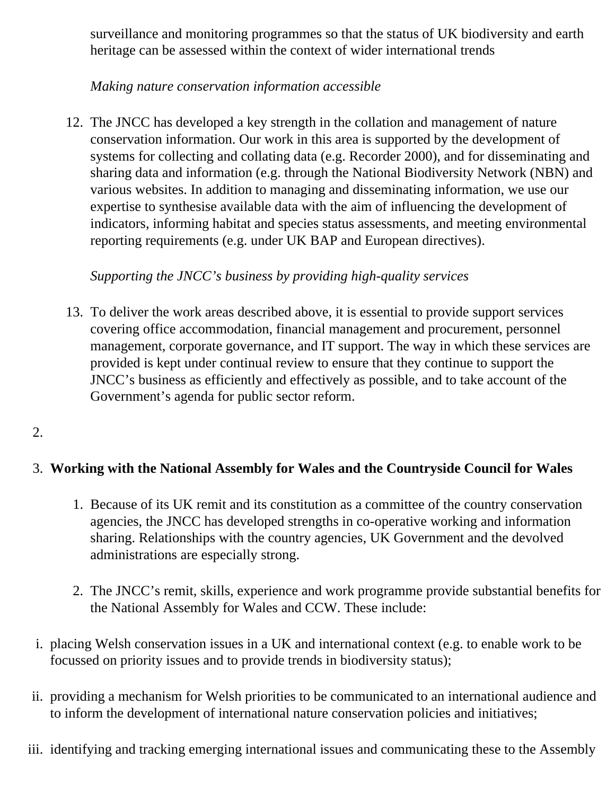surveillance and monitoring programmes so that the status of UK biodiversity and earth heritage can be assessed within the context of wider international trends

## *Making nature conservation information accessible*

12. The JNCC has developed a key strength in the collation and management of nature conservation information. Our work in this area is supported by the development of systems for collecting and collating data (e.g. Recorder 2000), and for disseminating and sharing data and information (e.g. through the National Biodiversity Network (NBN) and various websites. In addition to managing and disseminating information, we use our expertise to synthesise available data with the aim of influencing the development of indicators, informing habitat and species status assessments, and meeting environmental reporting requirements (e.g. under UK BAP and European directives).

### *Supporting the JNCC's business by providing high-quality services*

13. To deliver the work areas described above, it is essential to provide support services covering office accommodation, financial management and procurement, personnel management, corporate governance, and IT support. The way in which these services are provided is kept under continual review to ensure that they continue to support the JNCC's business as efficiently and effectively as possible, and to take account of the Government's agenda for public sector reform.

### 2.

## 3. **Working with the National Assembly for Wales and the Countryside Council for Wales**

- 1. Because of its UK remit and its constitution as a committee of the country conservation agencies, the JNCC has developed strengths in co-operative working and information sharing. Relationships with the country agencies, UK Government and the devolved administrations are especially strong.
- 2. The JNCC's remit, skills, experience and work programme provide substantial benefits for the National Assembly for Wales and CCW. These include:
- i. placing Welsh conservation issues in a UK and international context (e.g. to enable work to be focussed on priority issues and to provide trends in biodiversity status);
- ii. providing a mechanism for Welsh priorities to be communicated to an international audience and to inform the development of international nature conservation policies and initiatives;
- iii. identifying and tracking emerging international issues and communicating these to the Assembly